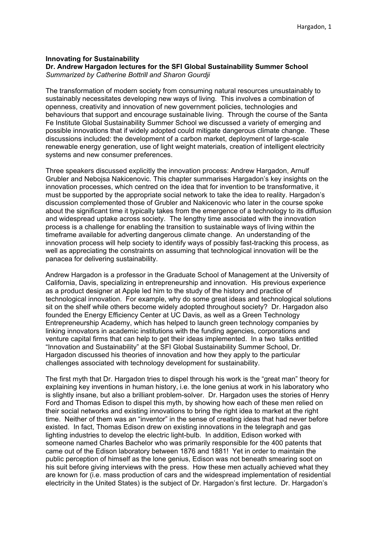### **Innovating for Sustainability Dr. Andrew Hargadon lectures for the SFI Global Sustainability Summer School** *Summarized by Catherine Bottrill and Sharon Gourdji*

The transformation of modern society from consuming natural resources unsustainably to sustainably necessitates developing new ways of living. This involves a combination of openness, creativity and innovation of new government policies, technologies and behaviours that support and encourage sustainable living. Through the course of the Santa Fe Institute Global Sustainability Summer School we discussed a variety of emerging and possible innovations that if widely adopted could mitigate dangerous climate change. These discussions included: the development of a carbon market, deployment of large-scale renewable energy generation, use of light weight materials, creation of intelligent electricity systems and new consumer preferences.

Three speakers discussed explicitly the innovation process: Andrew Hargadon, Arnulf Grubler and Nebojsa Nakicenovic. This chapter summarises Hargadon's key insights on the innovation processes, which centred on the idea that for invention to be transformative, it must be supported by the appropriate social network to take the idea to reality. Hargadon's discussion complemented those of Grubler and Nakicenovic who later in the course spoke about the significant time it typically takes from the emergence of a technology to its diffusion and widespread uptake across society. The lengthy time associated with the innovation process is a challenge for enabling the transition to sustainable ways of living within the timeframe available for adverting dangerous climate change. An understanding of the innovation process will help society to identify ways of possibly fast-tracking this process, as well as appreciating the constraints on assuming that technological innovation will be the panacea for delivering sustainability.

Andrew Hargadon is a professor in the Graduate School of Management at the University of California, Davis, specializing in entrepreneurship and innovation. His previous experience as a product designer at Apple led him to the study of the history and practice of technological innovation. For example, why do some great ideas and technological solutions sit on the shelf while others become widely adopted throughout society? Dr. Hargadon also founded the Energy Efficiency Center at UC Davis, as well as a Green Technology Entrepreneurship Academy, which has helped to launch green technology companies by linking innovators in academic institutions with the funding agencies, corporations and venture capital firms that can help to get their ideas implemented. In a two talks entitled "Innovation and Sustainability" at the SFI Global Sustainability Summer School, Dr. Hargadon discussed his theories of innovation and how they apply to the particular challenges associated with technology development for sustainability.

The first myth that Dr. Hargadon tries to dispel through his work is the "great man" theory for explaining key inventions in human history, i.e. the lone genius at work in his laboratory who is slightly insane, but also a brilliant problem-solver. Dr. Hargadon uses the stories of Henry Ford and Thomas Edison to dispel this myth, by showing how each of these men relied on their social networks and existing innovations to bring the right idea to market at the right time. Neither of them was an "inventor" in the sense of creating ideas that had never before existed. In fact, Thomas Edison drew on existing innovations in the telegraph and gas lighting industries to develop the electric light-bulb. In addition, Edison worked with someone named Charles Bachelor who was primarily responsible for the 400 patents that came out of the Edison laboratory between 1876 and 1881! Yet in order to maintain the public perception of himself as the lone genius, Edison was not beneath smearing soot on his suit before giving interviews with the press. How these men actually achieved what they are known for (i.e. mass production of cars and the widespread implementation of residential electricity in the United States) is the subject of Dr. Hargadon's first lecture. Dr. Hargadon's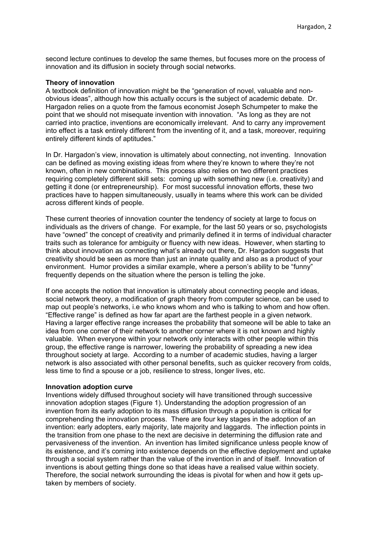second lecture continues to develop the same themes, but focuses more on the process of innovation and its diffusion in society through social networks.

## **Theory of innovation**

A textbook definition of innovation might be the "generation of novel, valuable and nonobvious ideas", although how this actually occurs is the subject of academic debate. Dr. Hargadon relies on a quote from the famous economist Joseph Schumpeter to make the point that we should not misequate invention with innovation. "As long as they are not carried into practice, inventions are economically irrelevant. And to carry any improvement into effect is a task entirely different from the inventing of it, and a task, moreover, requiring entirely different kinds of aptitudes."

In Dr. Hargadon's view, innovation is ultimately about connecting, not inventing. Innovation can be defined as moving existing ideas from where they're known to where they're not known, often in new combinations. This process also relies on two different practices requiring completely different skill sets: coming up with something new (i.e. creativity) and getting it done (or entrepreneurship). For most successful innovation efforts, these two practices have to happen simultaneously, usually in teams where this work can be divided across different kinds of people.

These current theories of innovation counter the tendency of society at large to focus on individuals as the drivers of change. For example, for the last 50 years or so, psychologists have "owned" the concept of creativity and primarily defined it in terms of individual character traits such as tolerance for ambiguity or fluency with new ideas. However, when starting to think about innovation as connecting what's already out there, Dr. Hargadon suggests that creativity should be seen as more than just an innate quality and also as a product of your environment. Humor provides a similar example, where a person's ability to be "funny" frequently depends on the situation where the person is telling the joke.

If one accepts the notion that innovation is ultimately about connecting people and ideas, social network theory, a modification of graph theory from computer science, can be used to map out people's networks, i.e who knows whom and who is talking to whom and how often. "Effective range" is defined as how far apart are the farthest people in a given network. Having a larger effective range increases the probability that someone will be able to take an idea from one corner of their network to another corner where it is not known and highly valuable. When everyone within your network only interacts with other people within this group, the effective range is narrower, lowering the probability of spreading a new idea throughout society at large. According to a number of academic studies, having a larger network is also associated with other personal benefits, such as quicker recovery from colds, less time to find a spouse or a job, resilience to stress, longer lives, etc.

### **Innovation adoption curve**

Inventions widely diffused throughout society will have transitioned through successive innovation adoption stages (Figure 1). Understanding the adoption progression of an invention from its early adoption to its mass diffusion through a population is critical for comprehending the innovation process. There are four key stages in the adoption of an invention: early adopters, early majority, late majority and laggards. The inflection points in the transition from one phase to the next are decisive in determining the diffusion rate and pervasiveness of the invention. An invention has limited significance unless people know of its existence, and it's coming into existence depends on the effective deployment and uptake through a social system rather than the value of the invention in and of itself. Innovation of inventions is about getting things done so that ideas have a realised value within society. Therefore, the social network surrounding the ideas is pivotal for when and how it gets uptaken by members of society.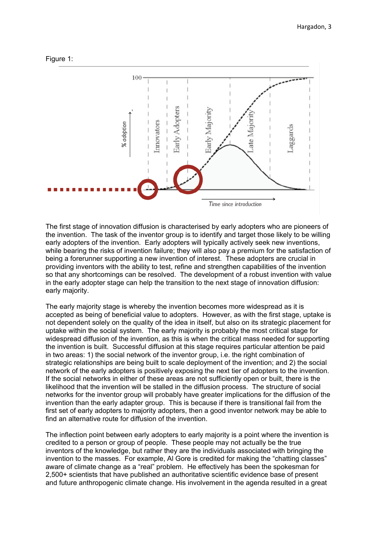



The first stage of innovation diffusion is characterised by early adopters who are pioneers of the invention. The task of the inventor group is to identify and target those likely to be willing early adopters of the invention. Early adopters will typically actively seek new inventions, while bearing the risks of invention failure; they will also pay a premium for the satisfaction of being a forerunner supporting a new invention of interest. These adopters are crucial in providing inventors with the ability to test, refine and strengthen capabilities of the invention so that any shortcomings can be resolved. The development of a robust invention with value in the early adopter stage can help the transition to the next stage of innovation diffusion: early majority.

The early majority stage is whereby the invention becomes more widespread as it is accepted as being of beneficial value to adopters. However, as with the first stage, uptake is not dependent solely on the quality of the idea in itself, but also on its strategic placement for uptake within the social system. The early majority is probably the most critical stage for widespread diffusion of the invention, as this is when the critical mass needed for supporting the invention is built. Successful diffusion at this stage requires particular attention be paid in two areas: 1) the social network of the inventor group, i.e. the right combination of strategic relationships are being built to scale deployment of the invention; and 2) the social network of the early adopters is positively exposing the next tier of adopters to the invention. If the social networks in either of these areas are not sufficiently open or built, there is the likelihood that the invention will be stalled in the diffusion process. The structure of social networks for the inventor group will probably have greater implications for the diffusion of the invention than the early adapter group. This is because if there is transitional fail from the first set of early adopters to majority adopters, then a good inventor network may be able to find an alternative route for diffusion of the invention.

The inflection point between early adopters to early majority is a point where the invention is credited to a person or group of people. These people may not actually be the true inventors of the knowledge, but rather they are the individuals associated with bringing the invention to the masses. For example, Al Gore is credited for making the "chatting classes" aware of climate change as a "real" problem. He effectively has been the spokesman for 2,500+ scientists that have published an authoritative scientific evidence base of present and future anthropogenic climate change. His involvement in the agenda resulted in a great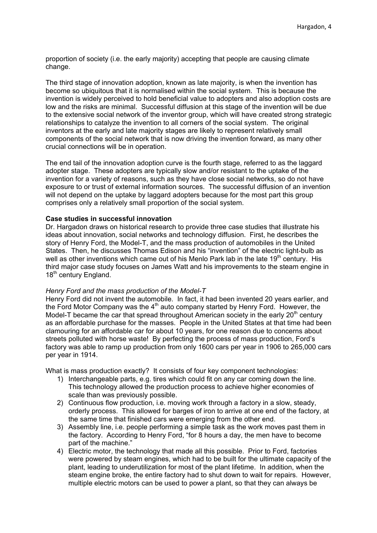proportion of society (i.e. the early majority) accepting that people are causing climate change.

The third stage of innovation adoption, known as late majority, is when the invention has become so ubiquitous that it is normalised within the social system. This is because the invention is widely perceived to hold beneficial value to adopters and also adoption costs are low and the risks are minimal. Successful diffusion at this stage of the invention will be due to the extensive social network of the inventor group, which will have created strong strategic relationships to catalyze the invention to all corners of the social system. The original inventors at the early and late majority stages are likely to represent relatively small components of the social network that is now driving the invention forward, as many other crucial connections will be in operation.

The end tail of the innovation adoption curve is the fourth stage, referred to as the laggard adopter stage. These adopters are typically slow and/or resistant to the uptake of the invention for a variety of reasons, such as they have close social networks, so do not have exposure to or trust of external information sources. The successful diffusion of an invention will not depend on the uptake by laggard adopters because for the most part this group comprises only a relatively small proportion of the social system.

# **Case studies in successful innovation**

Dr. Hargadon draws on historical research to provide three case studies that illustrate his ideas about innovation, social networks and technology diffusion. First, he describes the story of Henry Ford, the Model-T, and the mass production of automobiles in the United States. Then, he discusses Thomas Edison and his "invention" of the electric light-bulb as well as other inventions which came out of his Menlo Park lab in the late  $19<sup>th</sup>$  century. His third major case study focuses on James Watt and his improvements to the steam engine in 18<sup>th</sup> century England.

# *Henry Ford and the mass production of the Model-T*

Henry Ford did not invent the automobile. In fact, it had been invented 20 years earlier, and the Ford Motor Company was the  $4<sup>th</sup>$  auto company started by Henry Ford. However, the Model-T became the car that spread throughout American society in the early  $20<sup>th</sup>$  century as an affordable purchase for the masses. People in the United States at that time had been clamouring for an affordable car for about 10 years, for one reason due to concerns about streets polluted with horse waste! By perfecting the process of mass production, Ford's factory was able to ramp up production from only 1600 cars per year in 1906 to 265,000 cars per year in 1914.

What is mass production exactly? It consists of four key component technologies:

- 1) Interchangeable parts, e.g. tires which could fit on any car coming down the line. This technology allowed the production process to achieve higher economies of scale than was previously possible.
- 2) Continuous flow production, i.e. moving work through a factory in a slow, steady, orderly process. This allowed for barges of iron to arrive at one end of the factory, at the same time that finished cars were emerging from the other end.
- 3) Assembly line, i.e. people performing a simple task as the work moves past them in the factory. According to Henry Ford, "for 8 hours a day, the men have to become part of the machine."
- 4) Electric motor, the technology that made all this possible. Prior to Ford, factories were powered by steam engines, which had to be built for the ultimate capacity of the plant, leading to underutilization for most of the plant lifetime. In addition, when the steam engine broke, the entire factory had to shut down to wait for repairs. However, multiple electric motors can be used to power a plant, so that they can always be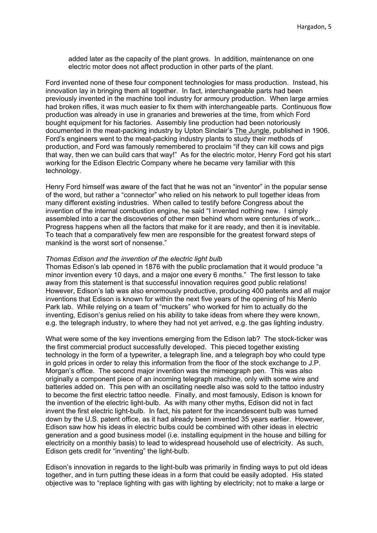added later as the capacity of the plant grows. In addition, maintenance on one electric motor does not affect production in other parts of the plant.

Ford invented none of these four component technologies for mass production. Instead, his innovation lay in bringing them all together. In fact, interchangeable parts had been previously invented in the machine tool industry for armoury production. When large armies had broken rifles, it was much easier to fix them with interchangeable parts. Continuous flow production was already in use in granaries and breweries at the time, from which Ford bought equipment for his factories. Assembly line production had been notoriously documented in the meat-packing industry by Upton Sinclair's The Jungle, published in 1906. Ford's engineers went to the meat-packing industry plants to study their methods of production, and Ford was famously remembered to proclaim "if they can kill cows and pigs that way, then we can build cars that way!" As for the electric motor, Henry Ford got his start working for the Edison Electric Company where he became very familiar with this technology.

Henry Ford himself was aware of the fact that he was not an "inventor" in the popular sense of the word, but rather a "connector" who relied on his network to pull together ideas from many different existing industries. When called to testify before Congress about the invention of the internal combustion engine, he said "I invented nothing new. I simply assembled into a car the discoveries of other men behind whom were centuries of work... Progress happens when all the factors that make for it are ready, and then it is inevitable. To teach that a comparatively few men are responsible for the greatest forward steps of mankind is the worst sort of nonsense."

### *Thomas Edison and the invention of the electric light bulb*

Thomas Edison's lab opened in 1876 with the public proclamation that it would produce "a minor invention every 10 days, and a major one every 6 months." The first lesson to take away from this statement is that successful innovation requires good public relations! However, Edison's lab was also enormously productive, producing 400 patents and all major inventions that Edison is known for within the next five years of the opening of his Menlo Park lab. While relying on a team of "muckers" who worked for him to actually do the inventing, Edison's genius relied on his ability to take ideas from where they were known, e.g. the telegraph industry, to where they had not yet arrived, e.g. the gas lighting industry.

What were some of the key inventions emerging from the Edison lab? The stock-ticker was the first commercial product successfully developed. This pieced together existing technology in the form of a typewriter, a telegraph line, and a telegraph boy who could type in gold prices in order to relay this information from the floor of the stock exchange to J.P. Morgan's office. The second major invention was the mimeograph pen. This was also originally a component piece of an incoming telegraph machine, only with some wire and batteries added on. This pen with an oscillating needle also was sold to the tattoo industry to become the first electric tattoo needle. Finally, and most famously, Edison is known for the invention of the electric light-bulb. As with many other myths, Edison did not in fact invent the first electric light-bulb. In fact, his patent for the incandescent bulb was turned down by the U.S. patent office, as it had already been invented 35 years earlier. However, Edison saw how his ideas in electric bulbs could be combined with other ideas in electric generation and a good business model (i.e. installing equipment in the house and billing for electricity on a monthly basis) to lead to widespread household use of electricity. As such, Edison gets credit for "inventing" the light-bulb.

Edison's innovation in regards to the light-bulb was primarily in finding ways to put old ideas together, and in turn putting these ideas in a form that could be easily adopted. His stated objective was to "replace lighting with gas with lighting by electricity; not to make a large or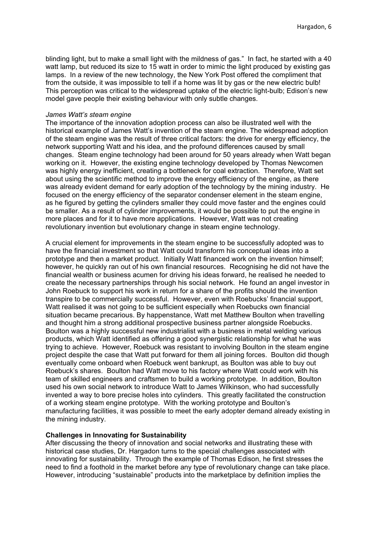blinding light, but to make a small light with the mildness of gas." In fact, he started with a 40 watt lamp, but reduced its size to 15 watt in order to mimic the light produced by existing gas lamps. In a review of the new technology, the New York Post offered the compliment that from the outside, it was impossible to tell if a home was lit by gas or the new electric bulb! This perception was critical to the widespread uptake of the electric light-bulb; Edison's new model gave people their existing behaviour with only subtle changes.

#### *James Watt's steam engine*

The importance of the innovation adoption process can also be illustrated well with the historical example of James Watt's invention of the steam engine. The widespread adoption of the steam engine was the result of three critical factors: the drive for energy efficiency, the network supporting Watt and his idea, and the profound differences caused by small changes. Steam engine technology had been around for 50 years already when Watt began working on it. However, the existing engine technology developed by Thomas Newcomen was highly energy inefficient, creating a bottleneck for coal extraction. Therefore, Watt set about using the scientific method to improve the energy efficiency of the engine, as there was already evident demand for early adoption of the technology by the mining industry. He focused on the energy efficiency of the separator condenser element in the steam engine, as he figured by getting the cylinders smaller they could move faster and the engines could be smaller. As a result of cylinder improvements, it would be possible to put the engine in more places and for it to have more applications. However, Watt was not creating revolutionary invention but evolutionary change in steam engine technology.

A crucial element for improvements in the steam engine to be successfully adopted was to have the financial investment so that Watt could transform his conceptual ideas into a prototype and then a market product. Initially Watt financed work on the invention himself; however, he quickly ran out of his own financial resources. Recognising he did not have the financial wealth or business acumen for driving his ideas forward, he realised he needed to create the necessary partnerships through his social network. He found an angel investor in John Roebuck to support his work in return for a share of the profits should the invention transpire to be commercially successful. However, even with Roebucks' financial support, Watt realised it was not going to be sufficient especially when Roebucks own financial situation became precarious. By happenstance, Watt met Matthew Boulton when travelling and thought him a strong additional prospective business partner alongside Roebucks. Boulton was a highly successful new industrialist with a business in metal welding various products, which Watt identified as offering a good synergistic relationship for what he was trying to achieve. However, Roebuck was resistant to involving Boulton in the steam engine project despite the case that Watt put forward for them all joining forces. Boulton did though eventually come onboard when Roebuck went bankrupt, as Boulton was able to buy out Roebuck's shares. Boulton had Watt move to his factory where Watt could work with his team of skilled engineers and craftsmen to build a working prototype. In addition, Boulton used his own social network to introduce Watt to James Wilkinson, who had successfully invented a way to bore precise holes into cylinders. This greatly facilitated the construction of a working steam engine prototype. With the working prototype and Boulton's manufacturing facilities, it was possible to meet the early adopter demand already existing in the mining industry.

# **Challenges in Innovating for Sustainability**

After discussing the theory of innovation and social networks and illustrating these with historical case studies, Dr. Hargadon turns to the special challenges associated with innovating for sustainability. Through the example of Thomas Edison, he first stresses the need to find a foothold in the market before any type of revolutionary change can take place. However, introducing "sustainable" products into the marketplace by definition implies the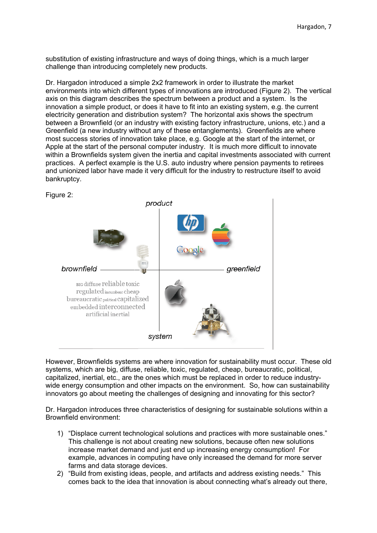substitution of existing infrastructure and ways of doing things, which is a much larger challenge than introducing completely new products.

Dr. Hargadon introduced a simple 2x2 framework in order to illustrate the market environments into which different types of innovations are introduced (Figure 2). The vertical axis on this diagram describes the spectrum between a product and a system. Is the innovation a simple product, or does it have to fit into an existing system, e.g. the current electricity generation and distribution system? The horizontal axis shows the spectrum between a Brownfield (or an industry with existing factory infrastructure, unions, etc.) and a Greenfield (a new industry without any of these entanglements). Greenfields are where most success stories of innovation take place, e.g. Google at the start of the internet, or Apple at the start of the personal computer industry. It is much more difficult to innovate within a Brownfields system given the inertia and capital investments associated with current practices. A perfect example is the U.S. auto industry where pension payments to retirees and unionized labor have made it very difficult for the industry to restructure itself to avoid bankruptcy.



However, Brownfields systems are where innovation for sustainability must occur. These old systems, which are big, diffuse, reliable, toxic, regulated, cheap, bureaucratic, political, capitalized, inertial, etc., are the ones which must be replaced in order to reduce industrywide energy consumption and other impacts on the environment. So, how can sustainability innovators go about meeting the challenges of designing and innovating for this sector?

Dr. Hargadon introduces three characteristics of designing for sustainable solutions within a Brownfield environment:

- 1) "Displace current technological solutions and practices with more sustainable ones." This challenge is not about creating new solutions, because often new solutions increase market demand and just end up increasing energy consumption! For example, advances in computing have only increased the demand for more server farms and data storage devices.
- 2) "Build from existing ideas, people, and artifacts and address existing needs." This comes back to the idea that innovation is about connecting what's already out there,

Figure 2: